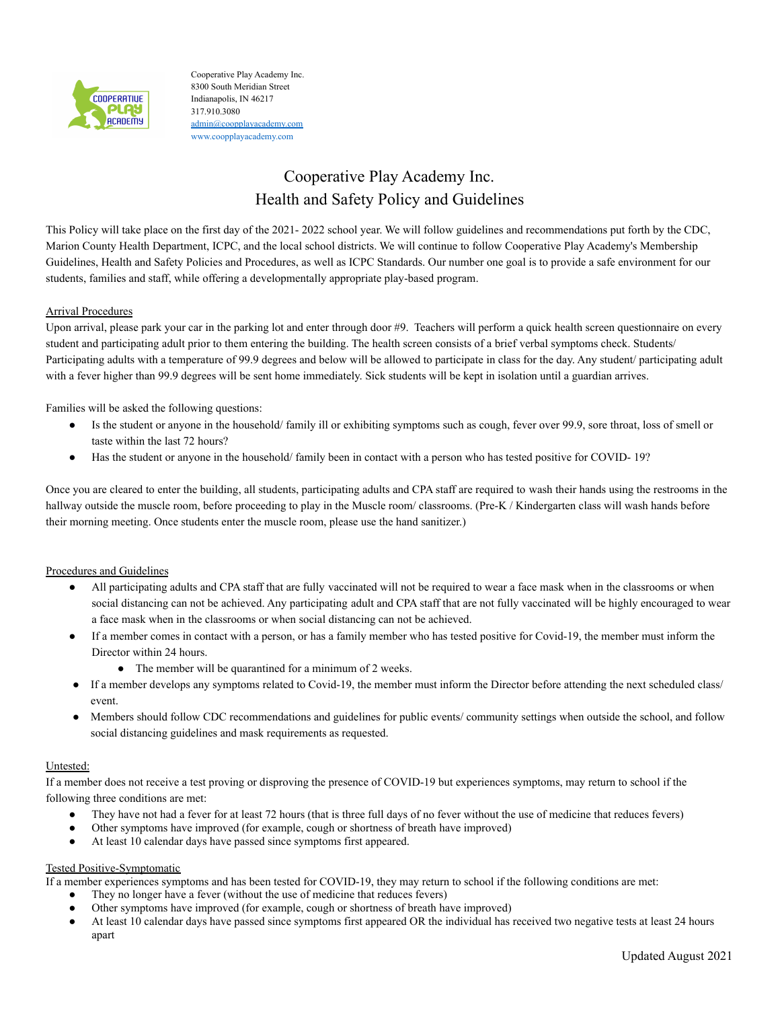

Cooperative Play Academy Inc. 8300 South Meridian Street Indianapolis, IN 46217 317.910.3080 [admin@coopplayacademy.com](mailto:admin@coopplayacademy.com) [www.coopplayacademy.com](http://www.coopplayacademy.com/)

# Cooperative Play Academy Inc. Health and Safety Policy and Guidelines

This Policy will take place on the first day of the 2021- 2022 school year. We will follow guidelines and recommendations put forth by the CDC, Marion County Health Department, ICPC, and the local school districts. We will continue to follow Cooperative Play Academy's Membership Guidelines, Health and Safety Policies and Procedures, as well as ICPC Standards. Our number one goal is to provide a safe environment for our students, families and staff, while offering a developmentally appropriate play-based program.

# Arrival Procedures

Upon arrival, please park your car in the parking lot and enter through door #9. Teachers will perform a quick health screen questionnaire on every student and participating adult prior to them entering the building. The health screen consists of a brief verbal symptoms check. Students/ Participating adults with a temperature of 99.9 degrees and below will be allowed to participate in class for the day. Any student/ participating adult with a fever higher than 99.9 degrees will be sent home immediately. Sick students will be kept in isolation until a guardian arrives.

Families will be asked the following questions:

- Is the student or anyone in the household/ family ill or exhibiting symptoms such as cough, fever over 99.9, sore throat, loss of smell or taste within the last 72 hours?
- Has the student or anyone in the household/ family been in contact with a person who has tested positive for COVID- 19?

Once you are cleared to enter the building, all students, participating adults and CPA staff are required to wash their hands using the restrooms in the hallway outside the muscle room, before proceeding to play in the Muscle room/ classrooms. (Pre-K / Kindergarten class will wash hands before their morning meeting. Once students enter the muscle room, please use the hand sanitizer.)

## Procedures and Guidelines

- All participating adults and CPA staff that are fully vaccinated will not be required to wear a face mask when in the classrooms or when social distancing can not be achieved. Any participating adult and CPA staff that are not fully vaccinated will be highly encouraged to wear a face mask when in the classrooms or when social distancing can not be achieved.
- If a member comes in contact with a person, or has a family member who has tested positive for Covid-19, the member must inform the Director within 24 hours.
	- The member will be quarantined for a minimum of 2 weeks.
- If a member develops any symptoms related to Covid-19, the member must inform the Director before attending the next scheduled class/ event.
- Members should follow CDC recommendations and guidelines for public events/ community settings when outside the school, and follow social distancing guidelines and mask requirements as requested.

## Untested:

If a member does not receive a test proving or disproving the presence of COVID-19 but experiences symptoms, may return to school if the following three conditions are met:

- They have not had a fever for at least 72 hours (that is three full days of no fever without the use of medicine that reduces fevers)
- Other symptoms have improved (for example, cough or shortness of breath have improved)
- At least 10 calendar days have passed since symptoms first appeared.

# Tested Positive-Symptomatic

If a member experiences symptoms and has been tested for COVID-19, they may return to school if the following conditions are met:

- They no longer have a fever (without the use of medicine that reduces fevers)
- Other symptoms have improved (for example, cough or shortness of breath have improved)
- At least 10 calendar days have passed since symptoms first appeared OR the individual has received two negative tests at least 24 hours apart